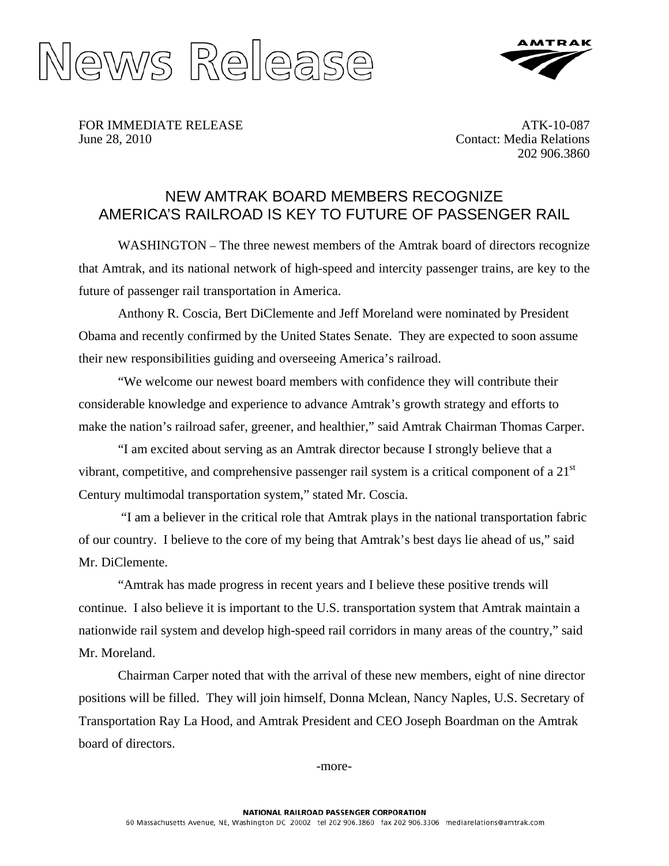



FOR IMMEDIATE RELEASE June 28, 2010

ATK-10-087 Contact: Media Relations 202 906.3860

# NEW AMTRAK BOARD MEMBERS RECOGNIZE AMERICA'S RAILROAD IS KEY TO FUTURE OF PASSENGER RAIL

WASHINGTON – The three newest members of the Amtrak board of directors recognize that Amtrak, and its national network of high-speed and intercity passenger trains, are key to the future of passenger rail transportation in America.

 Anthony R. Coscia, Bert DiClemente and Jeff Moreland were nominated by President Obama and recently confirmed by the United States Senate. They are expected to soon assume their new responsibilities guiding and overseeing America's railroad.

 "We welcome our newest board members with confidence they will contribute their considerable knowledge and experience to advance Amtrak's growth strategy and efforts to make the nation's railroad safer, greener, and healthier," said Amtrak Chairman Thomas Carper.

 "I am excited about serving as an Amtrak director because I strongly believe that a vibrant, competitive, and comprehensive passenger rail system is a critical component of a  $21<sup>st</sup>$ Century multimodal transportation system," stated Mr. Coscia.

 "I am a believer in the critical role that Amtrak plays in the national transportation fabric of our country. I believe to the core of my being that Amtrak's best days lie ahead of us," said Mr. DiClemente.

 "Amtrak has made progress in recent years and I believe these positive trends will continue. I also believe it is important to the U.S. transportation system that Amtrak maintain a nationwide rail system and develop high-speed rail corridors in many areas of the country," said Mr. Moreland.

 Chairman Carper noted that with the arrival of these new members, eight of nine director positions will be filled. They will join himself, Donna Mclean, Nancy Naples, U.S. Secretary of Transportation Ray La Hood, and Amtrak President and CEO Joseph Boardman on the Amtrak board of directors.

-more-